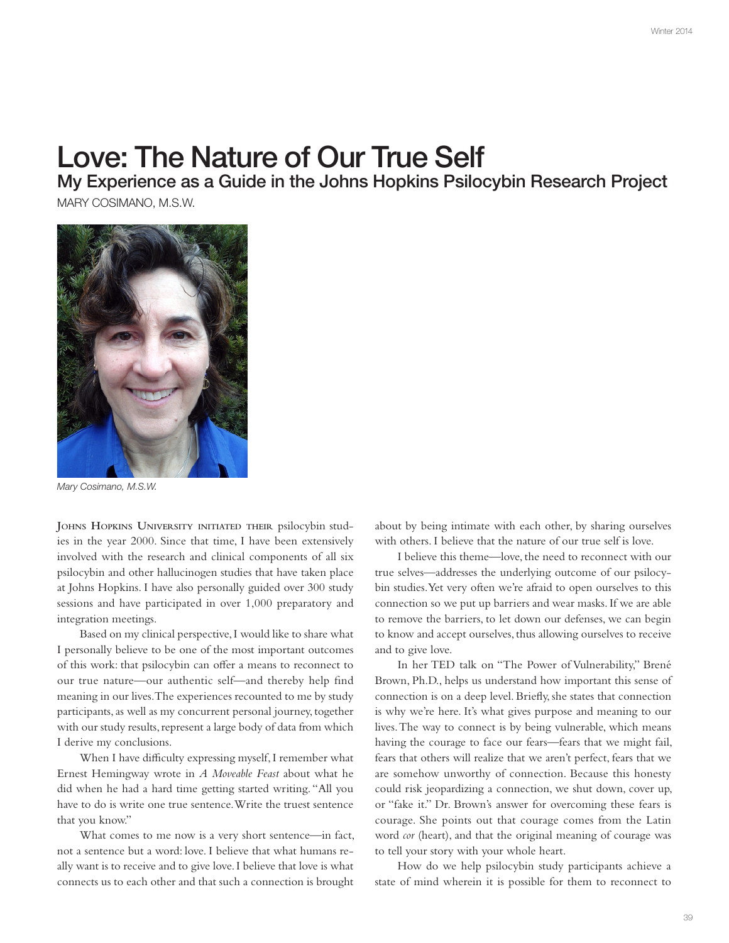## Love: The Nature of Our True Self

My Experience as a Guide in the Johns Hopkins Psilocybin Research Project

MARY COSIMANO, M.S.W.



Mary Cosimano, M.S.W.

**JOHNS HOPKINS UNIVERSITY INITIATED THEIR** psilocybin studies in the year 2000. Since that time, I have been extensively involved with the research and clinical components of all six psilocybin and other hallucinogen studies that have taken place at Johns Hopkins. I have also personally guided over 300 study sessions and have participated in over 1,000 preparatory and integration meetings.

Based on my clinical perspective, I would like to share what I personally believe to be one of the most important outcomes of this work: that psilocybin can offer a means to reconnect to our true nature—our authentic self—and thereby help fnd meaning in our lives. The experiences recounted to me by study participants, as well as my concurrent personal journey, together with our study results, represent a large body of data from which I derive my conclusions.

When I have difficulty expressing myself, I remember what Ernest Hemingway wrote in *A Moveable Feast* about what he did when he had a hard time getting started writing. "All you have to do is write one true sentence. Write the truest sentence that you know."

What comes to me now is a very short sentence—in fact, not a sentence but a word: love. I believe that what humans really want is to receive and to give love. I believe that love is what connects us to each other and that such a connection is brought

about by being intimate with each other, by sharing ourselves with others. I believe that the nature of our true self is love.

I believe this theme—love, the need to reconnect with our true selves—addresses the underlying outcome of our psilocybin studies. Yet very often we're afraid to open ourselves to this connection so we put up barriers and wear masks. If we are able to remove the barriers, to let down our defenses, we can begin to know and accept ourselves, thus allowing ourselves to receive and to give love.

In her TED talk on "The Power of Vulnerability," Brené Brown, Ph.D., helps us understand how important this sense of connection is on a deep level. Briefy, she states that connection is why we're here. It's what gives purpose and meaning to our lives. The way to connect is by being vulnerable, which means having the courage to face our fears—fears that we might fail, fears that others will realize that we aren't perfect, fears that we are somehow unworthy of connection. Because this honesty could risk jeopardizing a connection, we shut down, cover up, or "fake it." Dr. Brown's answer for overcoming these fears is courage. She points out that courage comes from the Latin word *cor* (heart), and that the original meaning of courage was to tell your story with your whole heart.

How do we help psilocybin study participants achieve a state of mind wherein it is possible for them to reconnect to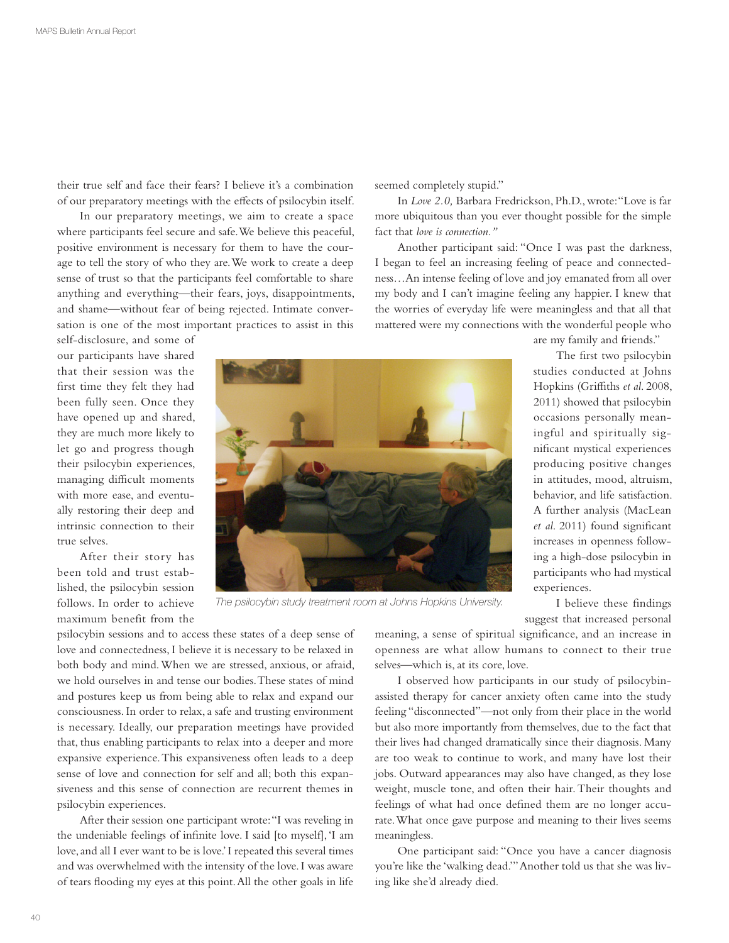their true self and face their fears? I believe it's a combination of our preparatory meetings with the efects of psilocybin itself.

In our preparatory meetings, we aim to create a space where participants feel secure and safe. We believe this peaceful, positive environment is necessary for them to have the courage to tell the story of who they are. We work to create a deep sense of trust so that the participants feel comfortable to share anything and everything—their fears, joys, disappointments, and shame—without fear of being rejected. Intimate conversation is one of the most important practices to assist in this

self-disclosure, and some of our participants have shared that their session was the frst time they felt they had been fully seen. Once they have opened up and shared, they are much more likely to let go and progress though their psilocybin experiences, managing difficult moments with more ease, and eventually restoring their deep and intrinsic connection to their true selves.

After their story has been told and trust established, the psilocybin session follows. In order to achieve maximum benefit from the seemed completely stupid."

In *Love 2.0,* Barbara Fredrickson, Ph.D., wrote: "Love is far more ubiquitous than you ever thought possible for the simple fact that *love is connection."*

Another participant said: "Once I was past the darkness, I began to feel an increasing feeling of peace and connectedness…An intense feeling of love and joy emanated from all over my body and I can't imagine feeling any happier. I knew that the worries of everyday life were meaningless and that all that mattered were my connections with the wonderful people who

are my family and friends."

The frst two psilocybin studies conducted at Johns Hopkins (Grifths *et al*. 2008, 2011) showed that psilocybin occasions personally meaningful and spiritually signifcant mystical experiences producing positive changes in attitudes, mood, altruism, behavior, and life satisfaction. A further analysis (MacLean *et al*. 2011) found signifcant increases in openness following a high-dose psilocybin in participants who had mystical experiences.

The psilocybin study treatment room at Johns Hopkins University.

I believe these fndings suggest that increased personal

psilocybin sessions and to access these states of a deep sense of love and connectedness, I believe it is necessary to be relaxed in both body and mind. When we are stressed, anxious, or afraid, we hold ourselves in and tense our bodies. These states of mind and postures keep us from being able to relax and expand our consciousness. In order to relax, a safe and trusting environment is necessary. Ideally, our preparation meetings have provided that, thus enabling participants to relax into a deeper and more expansive experience. This expansiveness often leads to a deep sense of love and connection for self and all; both this expansiveness and this sense of connection are recurrent themes in psilocybin experiences.

After their session one participant wrote: "I was reveling in the undeniable feelings of infnite love. I said [to myself], 'I am love, and all I ever want to be is love.' I repeated this several times and was overwhelmed with the intensity of the love. I was aware of tears fooding my eyes at this point. All the other goals in life

meaning, a sense of spiritual signifcance, and an increase in openness are what allow humans to connect to their true selves—which is, at its core, love.

I observed how participants in our study of psilocybinassisted therapy for cancer anxiety often came into the study feeling "disconnected"—not only from their place in the world but also more importantly from themselves, due to the fact that their lives had changed dramatically since their diagnosis. Many are too weak to continue to work, and many have lost their jobs. Outward appearances may also have changed, as they lose weight, muscle tone, and often their hair. Their thoughts and feelings of what had once defned them are no longer accurate. What once gave purpose and meaning to their lives seems meaningless.

One participant said: "Once you have a cancer diagnosis you're like the 'walking dead.'" Another told us that she was living like she'd already died.